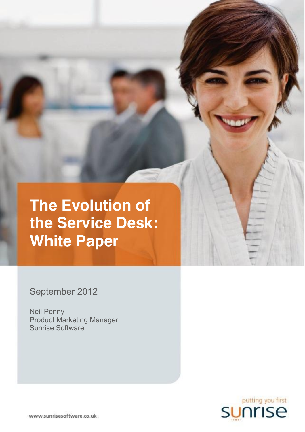**The Evolution of the Service Desk: White Paper**

September 2012

Neil Penny Product Marketing Manager Sunrise Software

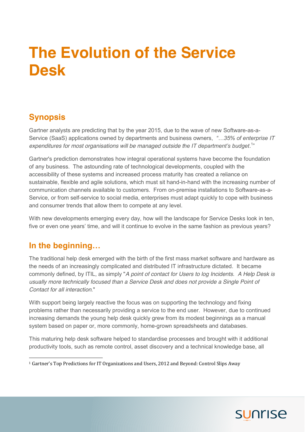## **The Evolution of the Service Desk**

## **Synopsis**

Gartner analysts are predicting that by the year 2015, due to the wave of new Software-as-a-Service (SaaS) applications owned by departments and business owners, *"…35% of enterprise IT expenditures for most organisations will be managed outside the IT department's budget*. 1 "

Gartner's prediction demonstrates how integral operational systems have become the foundation of any business. The astounding rate of technological developments, coupled with the accessibility of these systems and increased process maturity has created a reliance on sustainable, flexible and agile solutions, which must sit hand-in-hand with the increasing number of communication channels available to customers. From on-premise installations to Software-as-a-Service, or from self-service to social media, enterprises must adapt quickly to cope with business and consumer trends that allow them to compete at any level.

With new developments emerging every day, how will the landscape for Service Desks look in ten, five or even one years' time, and will it continue to evolve in the same fashion as previous years?

## **In the beginning…**

The traditional help desk emerged with the birth of the first mass market software and hardware as the needs of an increasingly complicated and distributed IT infrastructure dictated. It became commonly defined, by ITIL, as simply "*A point of contact for Users to log Incidents. A Help Desk is usually more technically focused than a Service Desk and does not provide a Single Point of Contact for all interaction*."

With support being largely reactive the focus was on supporting the technology and fixing problems rather than necessarily providing a service to the end user. However, due to continued increasing demands the young help desk quickly grew from its modest beginnings as a manual system based on paper or, more commonly, home-grown spreadsheets and databases.

This maturing help desk software helped to standardise processes and brought with it additional productivity tools, such as remote control, asset discovery and a technical knowledge base, all



<sup>&</sup>lt;sup>1</sup> Gartner's Top Predictions for IT Organizations and Users, 2012 and Beyond: Control Slips Away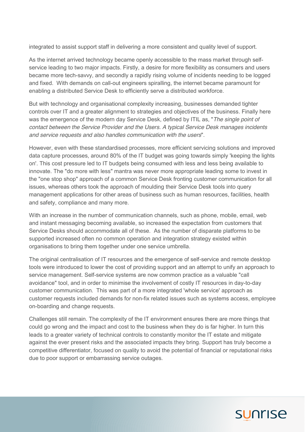integrated to assist support staff in delivering a more consistent and quality level of support.

As the internet arrived technology became openly accessible to the mass market through selfservice leading to two major impacts. Firstly, a desire for more flexibility as consumers and users became more tech-savvy, and secondly a rapidly rising volume of incidents needing to be logged and fixed. With demands on call-out engineers spiralling, the internet became paramount for enabling a distributed Service Desk to efficiently serve a distributed workforce.

But with technology and organisational complexity increasing, businesses demanded tighter controls over IT and a greater alignment to strategies and objectives of the business. Finally here was the emergence of the modern day Service Desk, defined by ITIL as, "*The single point of contact between the Service Provider and the Users. A typical Service Desk manages incidents and service requests and also handles communication with the users*".

However, even with these standardised processes, more efficient servicing solutions and improved data capture processes, around 80% of the IT budget was going towards simply 'keeping the lights on'. This cost pressure led to IT budgets being consumed with less and less being available to innovate. The "do more with less" mantra was never more appropriate leading some to invest in the "one stop shop" approach of a common Service Desk fronting customer communication for all issues, whereas others took the approach of moulding their Service Desk tools into query management applications for other areas of business such as human resources, facilities, health and safety, compliance and many more.

With an increase in the number of communication channels, such as phone, mobile, email, web and instant messaging becoming available, so increased the expectation from customers that Service Desks should accommodate all of these. As the number of disparate platforms to be supported increased often no common operation and integration strategy existed within organisations to bring them together under one service umbrella.

The original centralisation of IT resources and the emergence of self-service and remote desktop tools were introduced to lower the cost of providing support and an attempt to unify an approach to service management. Self-service systems are now common practice as a valuable "call avoidance" tool, and in order to minimise the involvement of costly IT resources in day-to-day customer communication. This was part of a more integrated 'whole service' approach as customer requests included demands for non-fix related issues such as systems access, employee on-boarding and change requests.

Challenges still remain. The complexity of the IT environment ensures there are more things that could go wrong and the impact and cost to the business when they do is far higher. In turn this leads to a greater variety of technical controls to constantly monitor the IT estate and mitigate against the ever present risks and the associated impacts they bring. Support has truly become a competitive differentiator, focused on quality to avoid the potential of financial or reputational risks due to poor support or embarrassing service outages.

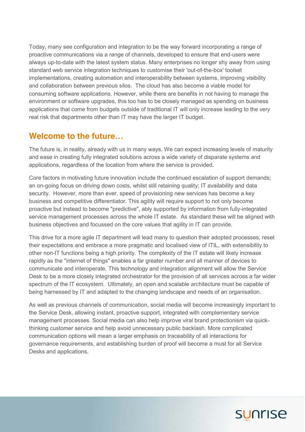Today, many see configuration and integration to be the way forward incorporating a range of proactive communications via a range of channels, developed to ensure that end-users were always up-to-date with the latest system status. Many enterprises no longer shy away from using standard web service integration techniques to customise their 'out-of-the-box' toolset implementations, creating automation and interoperability between systems, improving visibility and collaboration between previous silos. The cloud has also become a viable model for consuming software applications. However, while there are benefits in not having to manage the environment or software upgrades, this too has to be closely managed as spending on business applications that come from budgets outside of traditional IT will only increase leading to the very real risk that departments other than IT may have the larger IT budget.

## **Welcome to the future…**

The future is, in reality, already with us in many ways. We can expect increasing levels of maturity and ease in creating fully integrated solutions across a wide variety of disparate systems and applications, regardless of the location from where the service is provided.

Core factors in motivating future innovation include the continued escalation of support demands; an on-going focus on driving down costs, whilst still retaining quality; IT availability and data security. However, more than ever, speed of provisioning new services has become a key business and competitive differentiator. This agility will require support to not only become proactive but instead to become "predictive", ably supported by information from fully-integrated service management processes across the whole IT estate. As standard these will be aligned with business objectives and focussed on the core values that agility in IT can provide.

This drive for a more agile IT department will lead many to question their adopted processes, reset their expectations and embrace a more pragmatic and localised view of ITIL, with extensibility to other non-IT functions being a high priority. The complexity of the IT estate will likely increase rapidly as the "internet of things" enables a far greater number and all manner of devices to communicate and interoperate. This technology and integration alignment will allow the Service Desk to be a more closely integrated orchestrator for the provision of all services across a far wider spectrum of the IT ecosystem. Ultimately, an open and scalable architecture must be capable of being harnessed by IT and adapted to the changing landscape and needs of an organisation.

As well as previous channels of communication, social media will become increasingly important to the Service Desk, allowing instant, proactive support, integrated with complementary service management processes. Social media can also help improve viral brand protectionism via quickthinking customer service and help avoid unnecessary public backlash. More complicated communication options will mean a larger emphasis on traceability of all interactions for governance requirements, and establishing burden of proof will become a must for all Service Desks and applications.

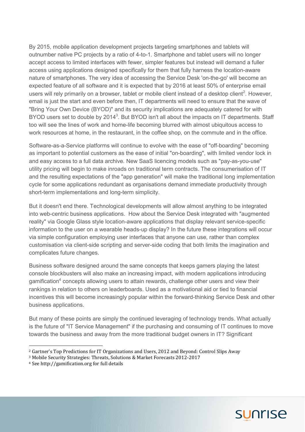By 2015, mobile application development projects targeting smartphones and tablets will outnumber native PC projects by a ratio of 4-to-1. Smartphone and tablet users will no longer accept access to limited interfaces with fewer, simpler features but instead will demand a fuller access using applications designed specifically for them that fully harness the location-aware nature of smartphones. The very idea of accessing the Service Desk 'on-the-go' will become an expected feature of all software and it is expected that by 2016 at least 50% of enterprise email users will rely primarily on a browser, tablet or mobile client instead of a desktop client<sup>2</sup>. However, email is just the start and even before then, IT departments will need to ensure that the wave of "Bring Your Own Device (BYOD)" and its security implications are adequately catered for with BYOD users set to double by 2014<sup>3</sup>. But BYOD isn't all about the impacts on IT departments. Staff too will see the lines of work and home-life becoming blurred with almost ubiquitous access to work resources at home, in the restaurant, in the coffee shop, on the commute and in the office.

Software-as-a-Service platforms will continue to evolve with the ease of "off-boarding" becoming as important to potential customers as the ease of initial "on-boarding", with limited vendor lock in and easy access to a full data archive. New SaaS licencing models such as "pay-as-you-use" utility pricing will begin to make inroads on traditional term contracts. The consumerisation of IT and the resulting expectations of the "app generation" will make the traditional long implementation cycle for some applications redundant as organisations demand immediate productivity through short-term implementations and long-term simplicity.

But it doesn't end there. Technological developments will allow almost anything to be integrated into web-centric business applications. How about the Service Desk integrated with "augmented reality" via Google Glass style location-aware applications that display relevant service-specific information to the user on a wearable heads-up display? In the future these integrations will occur via simple configuration employing user interfaces that anyone can use, rather than complex customisation via client-side scripting and server-side coding that both limits the imagination and complicates future changes.

Business software designed around the same concepts that keeps gamers playing the latest console blockbusters will also make an increasing impact, with modern applications introducing gamification<sup>4</sup> concepts allowing users to attain rewards, challenge other users and view their rankings in relation to others on leaderboards. Used as a motivational aid or tied to financial incentives this will become increasingly popular within the forward-thinking Service Desk and other business applications.

But many of these points are simply the continued leveraging of technology trends. What actually is the future of "IT Service Management" if the purchasing and consuming of IT continues to move towards the business and away from the more traditional budget owners in IT? Significant

<sup>4</sup> See http://gamification.org for full details



 <sup>2</sup> Gartner's Top Predictions for IT Organizations and Users, 2012 and Beyond: Control Slips Away

<sup>3</sup> Mobile Security Strategies: Threats, Solutions & Market Forecasts 2012-2017